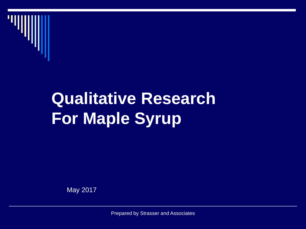

#### **Qualitative Research For Maple Syrup**

May 2017

Prepared by Strasser and Associates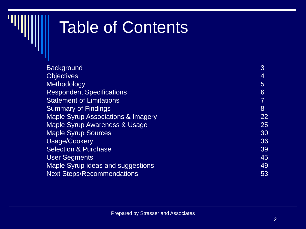#### Table of Contents

| <b>Background</b>                             | 3  |
|-----------------------------------------------|----|
| <b>Objectives</b>                             | 4  |
| Methodology                                   | 5  |
| <b>Respondent Specifications</b>              | 6  |
| <b>Statement of Limitations</b>               |    |
| <b>Summary of Findings</b>                    | 8  |
| <b>Maple Syrup Associations &amp; Imagery</b> | 22 |
| Maple Syrup Awareness & Usage                 | 25 |
| <b>Maple Syrup Sources</b>                    | 30 |
| Usage/Cookery                                 | 36 |
| <b>Selection &amp; Purchase</b>               | 39 |
| <b>User Segments</b>                          | 45 |
| <b>Maple Syrup ideas and suggestions</b>      | 49 |
| <b>Next Steps/Recommendations</b>             | 53 |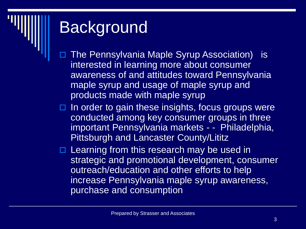#### Background

- The Pennsylvania Maple Syrup Association) is interested in learning more about consumer awareness of and attitudes toward Pennsylvania maple syrup and usage of maple syrup and products made with maple syrup
- $\Box$  In order to gain these insights, focus groups were conducted among key consumer groups in three important Pennsylvania markets - - Philadelphia, Pittsburgh and Lancaster County/Lititz
- Learning from this research may be used in strategic and promotional development, consumer outreach/education and other efforts to help increase Pennsylvania maple syrup awareness, purchase and consumption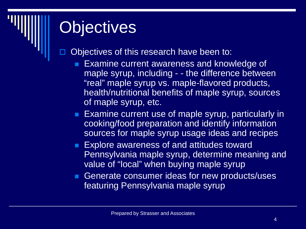#### **Objectives**

Objectives of this research have been to:

- Examine current awareness and knowledge of maple syrup, including - - the difference between "real" maple syrup vs. maple-flavored products, health/nutritional benefits of maple syrup, sources of maple syrup, etc.
- **Examine current use of maple syrup, particularly in** cooking/food preparation and identify information sources for maple syrup usage ideas and recipes
- **Explore awareness of and attitudes toward** Pennsylvania maple syrup, determine meaning and value of "local" when buying maple syrup
- Generate consumer ideas for new products/uses featuring Pennsylvania maple syrup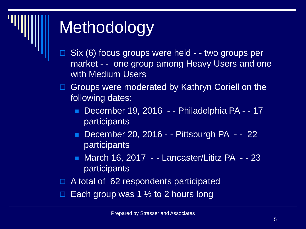

#### Methodology

- Six (6) focus groups were held - two groups per market - - one group among Heavy Users and one with Medium Users
- □ Groups were moderated by Kathryn Coriell on the following dates:
	- December 19, 2016 - Philadelphia PA - 17 participants
	- **December 20, 2016 - Pittsburgh PA - 22** participants
	- March 16, 2017 - Lancaster/Lititz PA - 23 participants
- $\Box$  A total of 62 respondents participated
- Each group was 1  $\frac{1}{2}$  to 2 hours long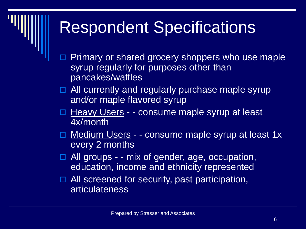#### Respondent Specifications

- Primary or shared grocery shoppers who use maple syrup regularly for purposes other than pancakes/waffles
- $\Box$  All currently and regularly purchase maple syrup and/or maple flavored syrup
- □ Heavy Users - consume maple syrup at least 4x/month
- □ Medium Users - consume maple syrup at least 1x every 2 months
- $\Box$  All groups - mix of gender, age, occupation, education, income and ethnicity represented
- $\Box$  All screened for security, past participation, articulateness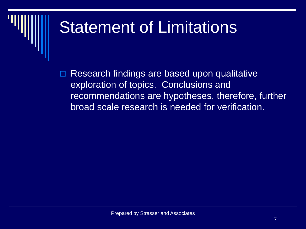#### Statement of Limitations

 Research findings are based upon qualitative exploration of topics. Conclusions and recommendations are hypotheses, therefore, further broad scale research is needed for verification.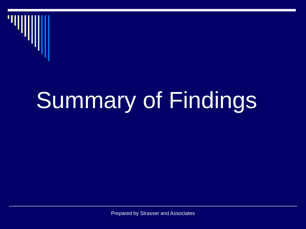

## Summary of Findings

Prepared by Strasser and Associates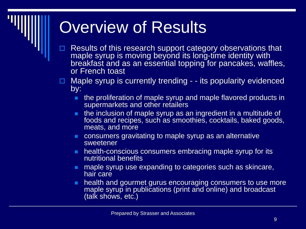#### Overview of Results

 Results of this research support category observations that maple syrup is moving beyond its long-time identity with breakfast and as an essential topping for pancakes, waffles, or French toast

 $\Box$  Maple syrup is currently trending - - its popularity evidenced by:

- **the proliferation of maple syrup and maple flavored products in** supermarkets and other retailers
- **the inclusion of maple syrup as an ingredient in a multitude of** foods and recipes, such as smoothies, cocktails, baked goods, meats, and more
- consumers gravitating to maple syrup as an alternative sweetener
- **health-conscious consumers embracing maple syrup for its** nutritional benefits
- **no maple syrup use expanding to categories such as skincare,** hair care
- **health and gourmet gurus encouraging consumers to use more** maple syrup in publications (print and online) and broadcast (talk shows, etc.)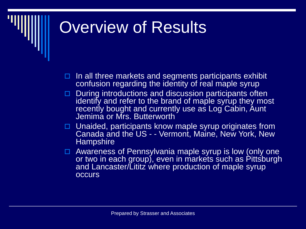#### **Overview of Results**

- $\Box$  In all three markets and segments participants exhibit confusion regarding the identity of real maple syrup
- During introductions and discussion participants often identify and refer to the brand of maple syrup they most recently bought and currently use as Log Cabin, Aunt Jemima or Mrs. Butterworth
- $\Box$  Unaided, participants know maple syrup originates from Canada and the US - - Vermont, Maine, New York, New **Hampshire**
- □ Awareness of Pennsylvania maple syrup is low (only one or two in each group), even in markets such as Pittsburgh and Lancaster/Lititz where production of maple syrup occurs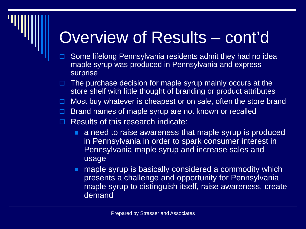#### Overview of Results – cont'd

- Some lifelong Pennsylvania residents admit they had no idea maple syrup was produced in Pennsylvania and express surprise
- The purchase decision for maple syrup mainly occurs at the store shelf with little thought of branding or product attributes
- Most buy whatever is cheapest or on sale, often the store brand
- $\Box$  Brand names of maple syrup are not known or recalled
- Results of this research indicate:
	- **a** a need to raise awareness that maple syrup is produced in Pennsylvania in order to spark consumer interest in Pennsylvania maple syrup and increase sales and usage
	- **no maple syrup is basically considered a commodity which** presents a challenge and opportunity for Pennsylvania maple syrup to distinguish itself, raise awareness, create demand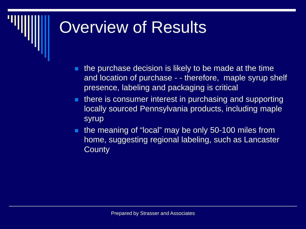#### Overview of Results

- $\blacksquare$  the purchase decision is likely to be made at the time and location of purchase - - therefore, maple syrup shelf presence, labeling and packaging is critical
- **there is consumer interest in purchasing and supporting** locally sourced Pennsylvania products, including maple syrup
- **the meaning of "local" may be only 50-100 miles from** home, suggesting regional labeling, such as Lancaster **County**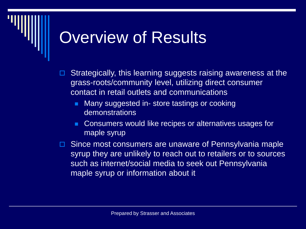#### **Overview of Results**

- Strategically, this learning suggests raising awareness at the grass-roots/community level, utilizing direct consumer contact in retail outlets and communications
	- **Many suggested in- store tastings or cooking** demonstrations
	- Consumers would like recipes or alternatives usages for maple syrup
- Since most consumers are unaware of Pennsylvania maple syrup they are unlikely to reach out to retailers or to sources such as internet/social media to seek out Pennsylvania maple syrup or information about it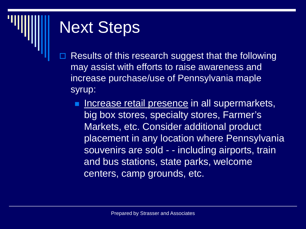

- Results of this research suggest that the following may assist with efforts to raise awareness and increase purchase/use of Pennsylvania maple syrup:
	- Increase retail presence in all supermarkets, big box stores, specialty stores, Farmer's Markets, etc. Consider additional product placement in any location where Pennsylvania souvenirs are sold - - including airports, train and bus stations, state parks, welcome centers, camp grounds, etc.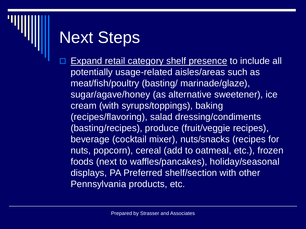Expand retail category shelf presence to include all potentially usage-related aisles/areas such as meat/fish/poultry (basting/ marinade/glaze), sugar/agave/honey (as alternative sweetener), ice cream (with syrups/toppings), baking (recipes/flavoring), salad dressing/condiments (basting/recipes), produce (fruit/veggie recipes), beverage (cocktail mixer), nuts/snacks (recipes for nuts, popcorn), cereal (add to oatmeal, etc.), frozen foods (next to waffles/pancakes), holiday/seasonal displays, PA Preferred shelf/section with other Pennsylvania products, etc.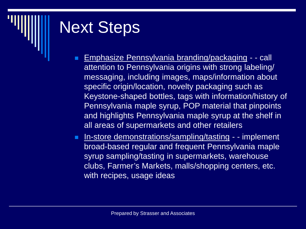- **Emphasize Pennsylvania branding/packaging - call** attention to Pennsylvania origins with strong labeling/ messaging, including images, maps/information about specific origin/location, novelty packaging such as Keystone-shaped bottles, tags with information/history of Pennsylvania maple syrup, POP material that pinpoints and highlights Pennsylvania maple syrup at the shelf in all areas of supermarkets and other retailers
- **In-store demonstrations/sampling/tasting - implement** broad-based regular and frequent Pennsylvania maple syrup sampling/tasting in supermarkets, warehouse clubs, Farmer's Markets, malls/shopping centers, etc. with recipes, usage ideas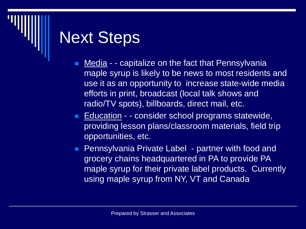- **Media - capitalize on the fact that Pennsylvania** maple syrup is likely to be news to most residents and use it as an opportunity to increase state-wide media efforts in print, broadcast (local talk shows and radio/TV spots), billboards, direct mail, etc.
- Education - consider school programs statewide, providing lesson plans/classroom materials, field trip opportunities, etc.
- **Pennsylvania Private Label partner with food and** grocery chains headquartered in PA to provide PA maple syrup for their private label products. Currently using maple syrup from NY, VT and Canada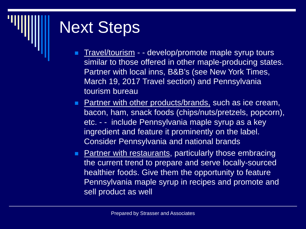- Travel/tourism - develop/promote maple syrup tours similar to those offered in other maple-producing states. Partner with local inns, B&B's (see New York Times, March 19, 2017 Travel section) and Pennsylvania tourism bureau
- **Partner with other products/brands, such as ice cream,** bacon, ham, snack foods (chips/nuts/pretzels, popcorn), etc. - - include Pennsylvania maple syrup as a key ingredient and feature it prominently on the label. Consider Pennsylvania and national brands
- **Partner with restaurants, particularly those embracing** the current trend to prepare and serve locally-sourced healthier foods. Give them the opportunity to feature Pennsylvania maple syrup in recipes and promote and sell product as well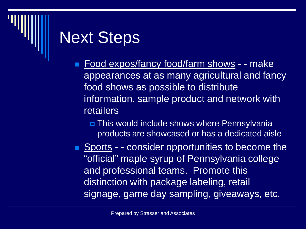- Food expos/fancy food/farm shows - make appearances at as many agricultural and fancy food shows as possible to distribute information, sample product and network with retailers
	- **D** This would include shows where Pennsylvania products are showcased or has a dedicated aisle
- Sports - consider opportunities to become the "official" maple syrup of Pennsylvania college and professional teams. Promote this distinction with package labeling, retail signage, game day sampling, giveaways, etc.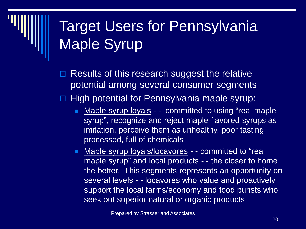#### Target Users for Pennsylvania Maple Syrup

- Results of this research suggest the relative potential among several consumer segments
- $\Box$  High potential for Pennsylvania maple syrup:
	- Maple syrup loyals - committed to using "real maple syrup", recognize and reject maple-flavored syrups as imitation, perceive them as unhealthy, poor tasting, processed, full of chemicals
	- **Maple syrup loyals/locavores - committed to "real** maple syrup" and local products - - the closer to home the better. This segments represents an opportunity on several levels - - locavores who value and proactively support the local farms/economy and food purists who seek out superior natural or organic products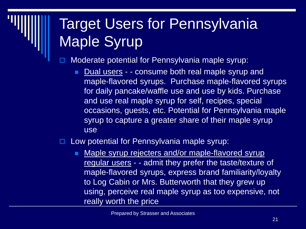#### Target Users for Pennsylvania Maple Syrup

Moderate potential for Pennsylvania maple syrup:

■ Dual users - - consume both real maple syrup and maple-flavored syrups. Purchase maple-flavored syrups for daily pancake/waffle use and use by kids. Purchase and use real maple syrup for self, recipes, special occasions, guests, etc. Potential for Pennsylvania maple syrup to capture a greater share of their maple syrup use

Low potential for Pennsylvania maple syrup:

Maple syrup rejecters and/or maple-flavored syrup regular users - - admit they prefer the taste/texture of maple-flavored syrups, express brand familiarity/loyalty to Log Cabin or Mrs. Butterworth that they grew up using, perceive real maple syrup as too expensive, not really worth the price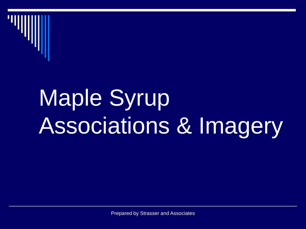

## Maple Syrup Associations & Imagery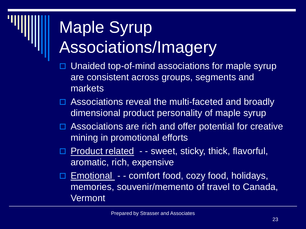## Maple Syrup Associations/Imagery

- Unaided top-of-mind associations for maple syrup are consistent across groups, segments and markets
- □ Associations reveal the multi-faceted and broadly dimensional product personality of maple syrup
- $\Box$  Associations are rich and offer potential for creative mining in promotional efforts
- Product related - sweet, sticky, thick, flavorful, aromatic, rich, expensive
- $\Box$  Emotional - comfort food, cozy food, holidays, memories, souvenir/memento of travel to Canada, **Vermont**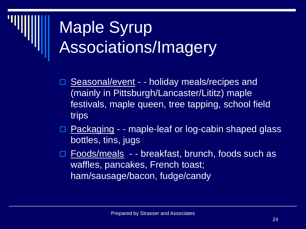### Maple Syrup Associations/Imagery

- **Seasonal/event - holiday meals/recipes and** (mainly in Pittsburgh/Lancaster/Lititz) maple festivals, maple queen, tree tapping, school field trips
- □ Packaging - maple-leaf or log-cabin shaped glass bottles, tins, jugs
- Foods/meals - breakfast, brunch, foods such as waffles, pancakes, French toast; ham/sausage/bacon, fudge/candy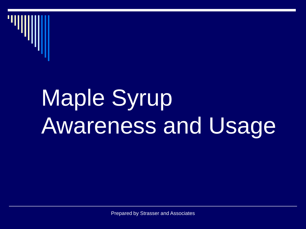

## Maple Syrup Awareness and Usage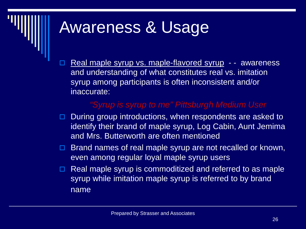#### Awareness & Usage

 Real maple syrup vs. maple-flavored syrup - - awareness and understanding of what constitutes real vs. imitation syrup among participants is often inconsistent and/or inaccurate:

#### *"Syrup is syrup to me" Pittsburgh Medium User*

- □ During group introductions, when respondents are asked to identify their brand of maple syrup, Log Cabin, Aunt Jemima and Mrs. Butterworth are often mentioned
- $\Box$  Brand names of real maple syrup are not recalled or known, even among regular loyal maple syrup users
- $\Box$  Real maple syrup is commoditized and referred to as maple syrup while imitation maple syrup is referred to by brand name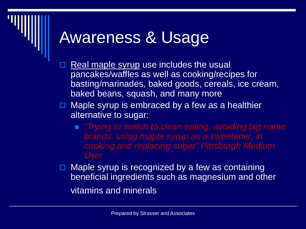#### Awareness & Usage

- Real maple syrup use includes the usual pancakes/waffles as well as cooking/recipes for basting/marinades, baked goods, cereals, ice cream, baked beans, squash, and many more
- $\Box$  Maple syrup is embraced by a few as a healthier alternative to sugar:
	- *"Trying to switch to clean eating, avoiding big name brands, using maple syrup as a sweetener, in cooking and replacing sugar" Pittsburgh Medium User*
- $\Box$  Maple syrup is recognized by a few as containing beneficial ingredients such as magnesium and other vitamins and minerals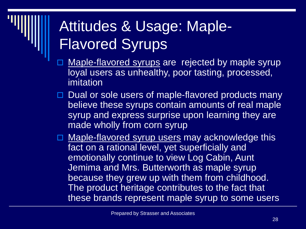#### Attitudes & Usage: Maple-Flavored Syrups

- Maple-flavored syrups are rejected by maple syrup loyal users as unhealthy, poor tasting, processed, imitation
- Dual or sole users of maple-flavored products many believe these syrups contain amounts of real maple syrup and express surprise upon learning they are made wholly from corn syrup
- □ Maple-flavored syrup users may acknowledge this fact on a rational level, yet superficially and emotionally continue to view Log Cabin, Aunt Jemima and Mrs. Butterworth as maple syrup because they grew up with them from childhood. The product heritage contributes to the fact that these brands represent maple syrup to some users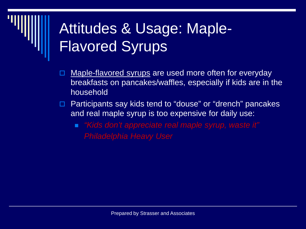#### Attitudes & Usage: Maple-Flavored Syrups

- Maple-flavored syrups are used more often for everyday breakfasts on pancakes/waffles, especially if kids are in the household
- Participants say kids tend to "douse" or "drench" pancakes and real maple syrup is too expensive for daily use:
	- *"Kids don't appreciate real maple syrup, waste it" Philadelphia Heavy User*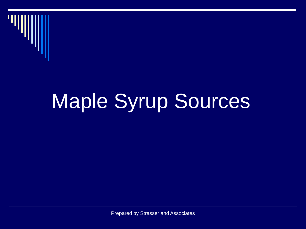

## Maple Syrup Sources

Prepared by Strasser and Associates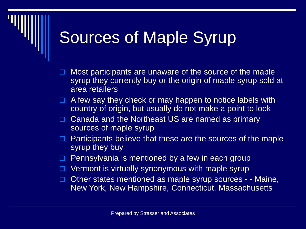#### Sources of Maple Syrup

- Most participants are unaware of the source of the maple syrup they currently buy or the origin of maple syrup sold at area retailers
- $\Box$  A few say they check or may happen to notice labels with country of origin, but usually do not make a point to look
- $\Box$  Canada and the Northeast US are named as primary sources of maple syrup
- $\Box$  Participants believe that these are the sources of the maple syrup they buy
- $\Box$  Pennsylvania is mentioned by a few in each group
- Vermont is virtually synonymous with maple syrup
- $\Box$  Other states mentioned as maple syrup sources - Maine, New York, New Hampshire, Connecticut, Massachusetts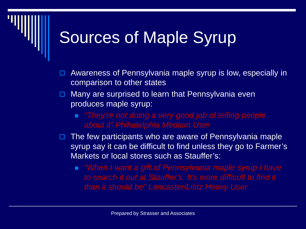#### Sources of Maple Syrup

- Awareness of Pennsylvania maple syrup is low, especially in comparison to other states
- $\Box$  Many are surprised to learn that Pennsylvania even produces maple syrup:
	- *"They're not doing a very good job of telling people about it" Philadelphia Medium User*
- $\Box$  The few participants who are aware of Pennsylvania maple syrup say it can be difficult to find unless they go to Farmer's Markets or local stores such as Stauffer's:
	- *"When I want a gift of Pennsylvania maple syrup I have to search it out at Stauffer's. It's more difficult to find it than it should be" Lancaster/Lititz Heavy User*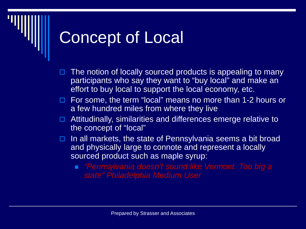#### Concept of Local

- The notion of locally sourced products is appealing to many participants who say they want to "buy local" and make an effort to buy local to support the local economy, etc.
- □ For some, the term "local" means no more than 1-2 hours or a few hundred miles from where they live
- $\Box$  Attitudinally, similarities and differences emerge relative to the concept of "local"
- $\Box$  In all markets, the state of Pennsylvania seems a bit broad and physically large to connote and represent a locally sourced product such as maple syrup:
	- *"Pennsylvania doesn't sound like Vermont. Too big a state" Philadelphia Medium User*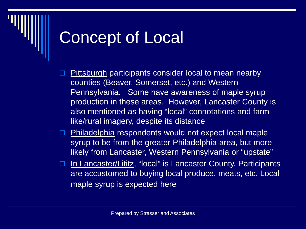#### Concept of Local

- Pittsburgh participants consider local to mean nearby counties (Beaver, Somerset, etc.) and Western Pennsylvania. Some have awareness of maple syrup production in these areas. However, Lancaster County is also mentioned as having "local" connotations and farmlike/rural imagery, despite its distance
- □ Philadelphia respondents would not expect local maple syrup to be from the greater Philadelphia area, but more likely from Lancaster, Western Pennsylvania or "upstate"
- □ In Lancaster/Lititz, "local" is Lancaster County. Participants are accustomed to buying local produce, meats, etc. Local maple syrup is expected here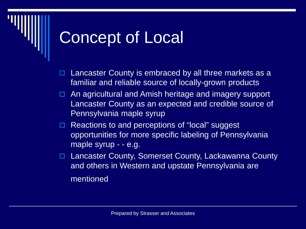#### Concept of Local

- $\Box$  Lancaster County is embraced by all three markets as a familiar and reliable source of locally-grown products
- □ An agricultural and Amish heritage and imagery support Lancaster County as an expected and credible source of Pennsylvania maple syrup
- □ Reactions to and perceptions of "local" suggest opportunities for more specific labeling of Pennsylvania maple syrup - - e.g.
- □ Lancaster County, Somerset County, Lackawanna County and others in Western and upstate Pennsylvania are mentioned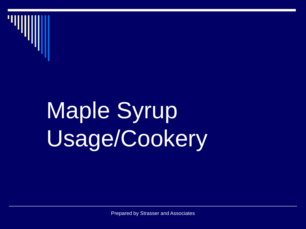

## Maple Syrup Usage/Cookery

Prepared by Strasser and Associates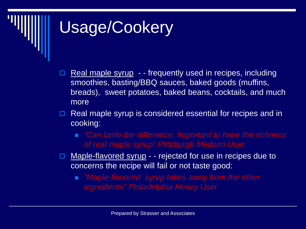#### Usage/Cookery

- Real maple syrup - frequently used in recipes, including smoothies, basting/BBQ sauces, baked goods (muffins, breads), sweet potatoes, baked beans, cocktails, and much more
- $\Box$  Real maple syrup is considered essential for recipes and in cooking:
	- *"Can taste the difference. Important to have the richness of real maple syrup" Pittsburgh Medium User*
- □ Maple-flavored syrup - rejected for use in recipes due to concerns the recipe will fail or not taste good:
	- *"Maple-flavored syrup takes away from the other ingredients" Philadelphia Heavy User*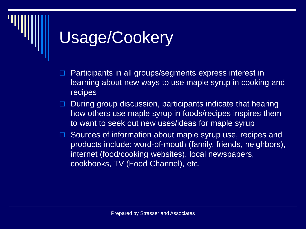#### Usage/Cookery

- Participants in all groups/segments express interest in learning about new ways to use maple syrup in cooking and recipes
- $\Box$  During group discussion, participants indicate that hearing how others use maple syrup in foods/recipes inspires them to want to seek out new uses/ideas for maple syrup
- □ Sources of information about maple syrup use, recipes and products include: word-of-mouth (family, friends, neighbors), internet (food/cooking websites), local newspapers, cookbooks, TV (Food Channel), etc.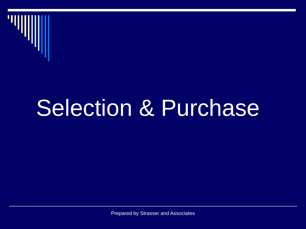

## Selection & Purchase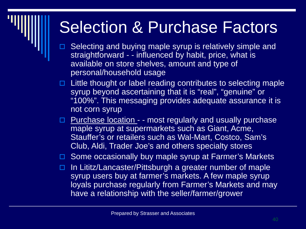- Selecting and buying maple syrup is relatively simple and straightforward - - influenced by habit, price, what is available on store shelves, amount and type of personal/household usage
- Little thought or label reading contributes to selecting maple syrup beyond ascertaining that it is "real", "genuine" or "100%". This messaging provides adequate assurance it is not corn syrup
- **Purchase location - most regularly and usually purchase** maple syrup at supermarkets such as Giant, Acme, Stauffer's or retailers such as Wal-Mart, Costco, Sam's Club, Aldi, Trader Joe's and others specialty stores

□ Some occasionally buy maple syrup at Farmer's Markets

 In Lititz/Lancaster/Pittsburgh a greater number of maple syrup users buy at farmer's markets. A few maple syrup loyals purchase regularly from Farmer's Markets and may have a relationship with the seller/farmer/grower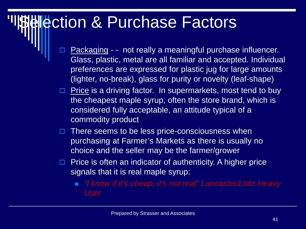- Packaging - not really a meaningful purchase influencer. Glass, plastic, metal are all familiar and accepted. Individual preferences are expressed for plastic jug for large amounts (lighter, no-break), glass for purity or novelty (leaf-shape)
- $\Box$  Price is a driving factor. In supermarkets, most tend to buy the cheapest maple syrup, often the store brand, which is considered fully acceptable, an attitude typical of a commodity product
- $\Box$  There seems to be less price-consciousness when purchasing at Farmer's Markets as there is usually no choice and the seller may be the farmer/grower
- $\Box$  Price is often an indicator of authenticity. A higher price signals that it is real maple syrup:
	- *"I know if it's cheap, it's not real" Lancaster/Lititz Heavy User*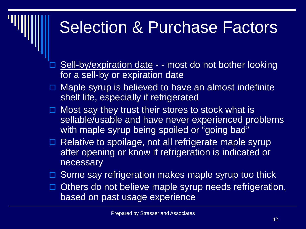- Sell-by/expiration date - most do not bother looking for a sell-by or expiration date
- Maple syrup is believed to have an almost indefinite shelf life, especially if refrigerated
- $\Box$  Most say they trust their stores to stock what is sellable/usable and have never experienced problems with maple syrup being spoiled or "going bad"
- Relative to spoilage, not all refrigerate maple syrup after opening or know if refrigeration is indicated or necessary
- $\Box$  Some say refrigeration makes maple syrup too thick
- $\Box$  Others do not believe maple syrup needs refrigeration, based on past usage experience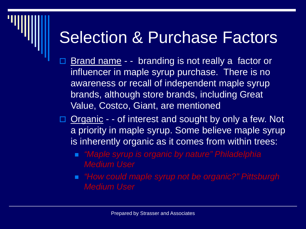- Brand name - branding is not really a factor or influencer in maple syrup purchase. There is no awareness or recall of independent maple syrup brands, although store brands, including Great Value, Costco, Giant, are mentioned
- □ Organic - of interest and sought by only a few. Not a priority in maple syrup. Some believe maple syrup is inherently organic as it comes from within trees:
	- *"Maple syrup is organic by nature" Philadelphia Medium User*
	- *"How could maple syrup not be organic?" Pittsburgh Medium User*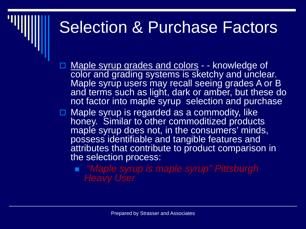- □ Maple syrup grades and colors - knowledge of color and grading systems is sketchy and unclear. Maple syrup users may recall seeing grades A or B and terms such as light, dark or amber, but these do not factor into maple syrup selection and purchase
- **□ Maple syrup is regarded as a commodity, like** honey. Similar to other commoditized products maple syrup does not, in the consumers' minds, possess identifiable and tangible features and attributes that contribute to product comparison in the selection process:
	- *"Maple syrup is maple syrup" Pittsburgh Heavy User*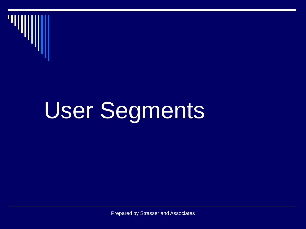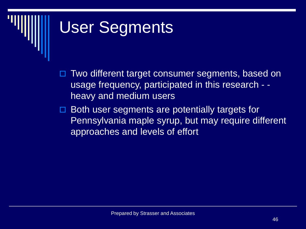- Two different target consumer segments, based on usage frequency, participated in this research - heavy and medium users
- Both user segments are potentially targets for Pennsylvania maple syrup, but may require different approaches and levels of effort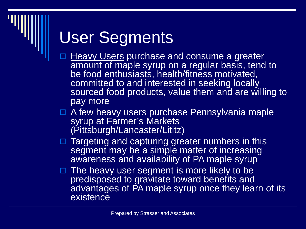- **Heavy Users purchase and consume a greater** amount of maple syrup on a regular basis, tend to be food enthusiasts, health/fitness motivated, committed to and interested in seeking locally sourced food products, value them and are willing to pay more
- $\Box$  A few heavy users purchase Pennsylvania maple syrup at Farmer's Markets (Pittsburgh/Lancaster/Lititz)
- □ Targeting and capturing greater numbers in this segment may be a simple matter of increasing awareness and availability of PA maple syrup
- □ The heavy user segment is more likely to be predisposed to gravitate toward benefits and advantages of PA maple syrup once they learn of its existence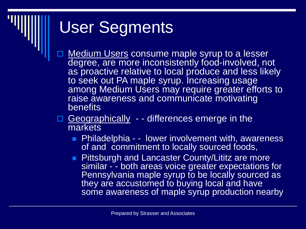- Medium Users consume maple syrup to a lesser degree, are more inconsistently food-involved, not as proactive relative to local produce and less likely to seek out PA maple syrup. Increasing usage among Medium Users may require greater efforts to raise awareness and communicate motivating **benefits**
- □ Geographically - differences emerge in the markets
	- **Philadelphia - lower involvement with, awareness** of and commitment to locally sourced foods,
	- **Pittsburgh and Lancaster County/Lititz are more** similar - - both areas voice greater expectations for Pennsylvania maple syrup to be locally sourced as they are accustomed to buying local and have some awareness of maple syrup production nearby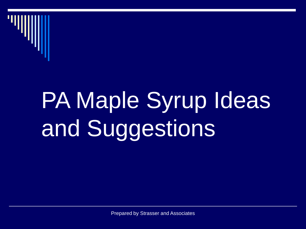

## PA Maple Syrup Ideas and Suggestions

Prepared by Strasser and Associates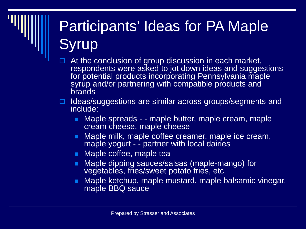#### Participants' Ideas for PA Maple **Syrup**

- $\Box$  At the conclusion of group discussion in each market, respondents were asked to jot down ideas and suggestions for potential products incorporating Pennsylvania maple syrup and/or partnering with compatible products and brands
- Ideas/suggestions are similar across groups/segments and include:
	- Maple spreads - maple butter, maple cream, maple cream cheese, maple cheese
	- Maple milk, maple coffee creamer, maple ice cream, maple yogurt - - partner with local dairies
	- **Naple coffee, maple tea**
	- Maple dipping sauces/salsas (maple-mango) for vegetables, fries/sweet potato fries, etc.
	- Maple ketchup, maple mustard, maple balsamic vinegar, maple BBQ sauce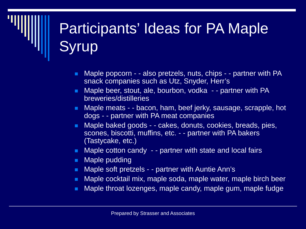#### Participants' Ideas for PA Maple **Syrup**

- Maple popcorn - also pretzels, nuts, chips - partner with PA snack companies such as Utz, Snyder, Herr's
- Maple beer, stout, ale, bourbon, vodka - partner with PA breweries/distilleries
- Maple meats - bacon, ham, beef jerky, sausage, scrapple, hot dogs - - partner with PA meat companies
- Maple baked goods - cakes, donuts, cookies, breads, pies, scones, biscotti, muffins, etc. - - partner with PA bakers (Tastycake, etc.)
- Maple cotton candy - partner with state and local fairs
- **Maple pudding**
- **Maple soft pretzels - partner with Auntie Ann's**
- Maple cocktail mix, maple soda, maple water, maple birch beer
- **Maple throat lozenges, maple candy, maple gum, maple fudge**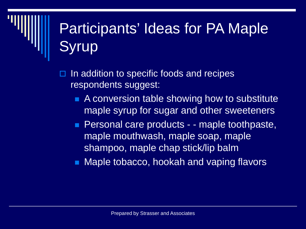#### Participants' Ideas for PA Maple **Syrup**

- In addition to specific foods and recipes respondents suggest:
	- **A** conversion table showing how to substitute maple syrup for sugar and other sweeteners
	- **Personal care products - maple toothpaste,** maple mouthwash, maple soap, maple shampoo, maple chap stick/lip balm
	- Maple tobacco, hookah and vaping flavors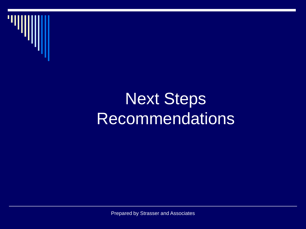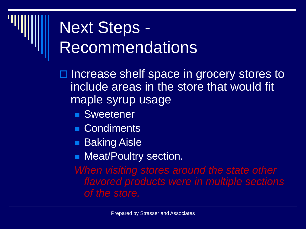$\Box$  Increase shelf space in grocery stores to include areas in the store that would fit maple syrup usage

- **Sweetener**
- Condiments
- **Baking Aisle**
- **Neat/Poultry section.**

*When visiting stores around the state other flavored products were in multiple sections of the store.*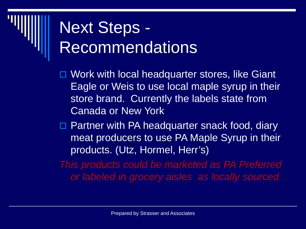□ Work with local headquarter stores, like Giant Eagle or Weis to use local maple syrup in their store brand. Currently the labels state from Canada or New York

□ Partner with PA headquarter snack food, diary meat producers to use PA Maple Syrup in their products. (Utz, Hormel, Herr's)

*This products could be marketed as PA Preferred or labeled in grocery aisles as locally sourced.*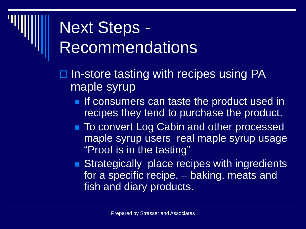- $\Box$  In-store tasting with recipes using PA maple syrup
	- **If consumers can taste the product used in** recipes they tend to purchase the product.
	- To convert Log Cabin and other processed maple syrup users real maple syrup usage "Proof is in the tasting"
	- **Strategically place recipes with ingredients** for a specific recipe. – baking, meats and fish and diary products.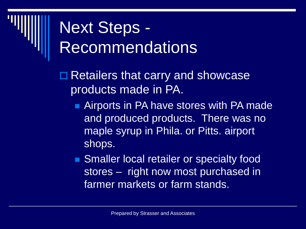- **□ Retailers that carry and showcase** products made in PA.
	- Airports in PA have stores with PA made and produced products. There was no maple syrup in Phila. or Pitts. airport shops.
	- **Smaller local retailer or specialty food** stores – right now most purchased in farmer markets or farm stands.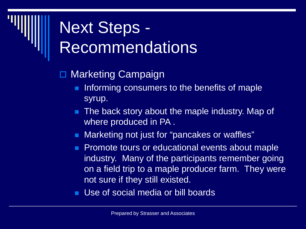- Marketing Campaign
	- Informing consumers to the benefits of maple syrup.
	- **The back story about the maple industry. Map of** where produced in PA .
	- Marketing not just for "pancakes or waffles"
	- **Promote tours or educational events about maple** industry. Many of the participants remember going on a field trip to a maple producer farm. They were not sure if they still existed.
	- Use of social media or bill boards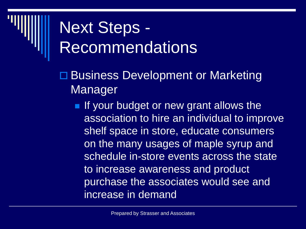- □ Business Development or Marketing Manager
	- If your budget or new grant allows the association to hire an individual to improve shelf space in store, educate consumers on the many usages of maple syrup and schedule in-store events across the state to increase awareness and product purchase the associates would see and increase in demand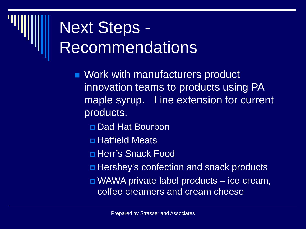- **Nork with manufacturers product** innovation teams to products using PA maple syrup. Line extension for current products.
	- Dad Hat Bourbon
	- **<u>n</u>** Hatfield Meats
	- Herr's Snack Food
	- Hershey's confection and snack products
	- WAWA private label products ice cream, coffee creamers and cream cheese